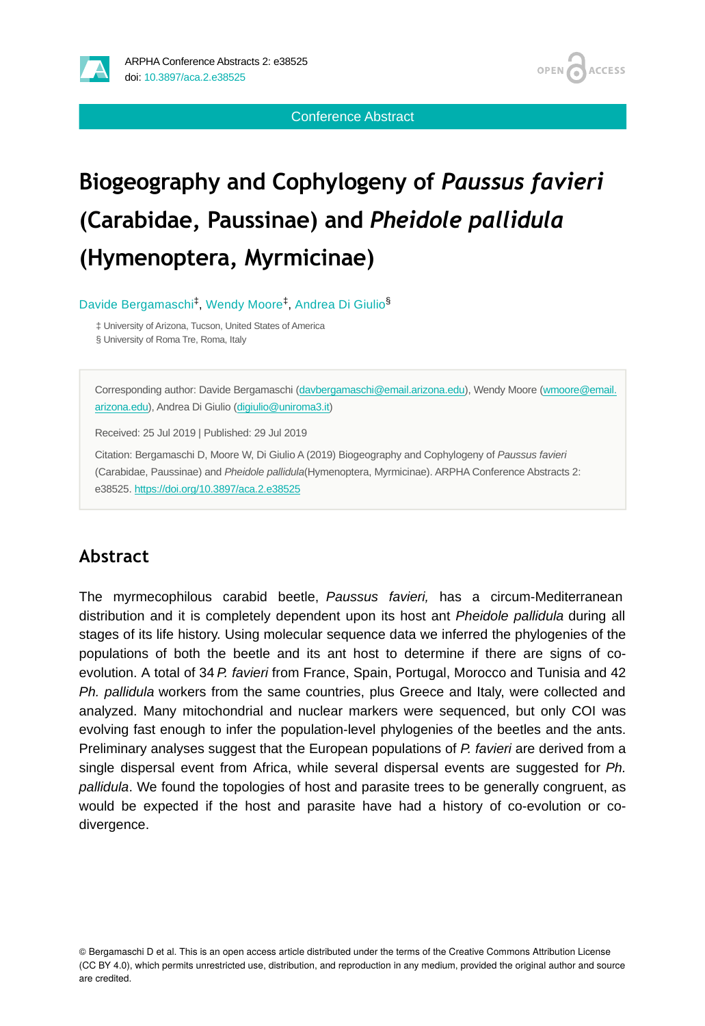



Conference Abstract

## **Biogeography and Cophylogeny of** *Paussus favieri*  **(Carabidae, Paussinae) and** *Pheidole pallidula*  **(Hymenoptera, Myrmicinae)**

Davide Bergamaschi<sup>‡</sup>, Wendy Moore<sup>‡</sup>, Andrea Di Giulio<sup>§</sup>

‡ University of Arizona, Tucson, United States of America § University of Roma Tre, Roma, Italy

Corresponding author: Davide Bergamaschi [\(davbergamaschi@email.arizona.edu](mailto:davbergamaschi@email.arizona.edu)), Wendy Moore [\(wmoore@email.](mailto:wmoore@email.arizona.edu) [arizona.edu](mailto:wmoore@email.arizona.edu)), Andrea Di Giulio [\(digiulio@uniroma3.it](mailto:digiulio@uniroma3.it))

Received: 25 Jul 2019 | Published: 29 Jul 2019

Citation: Bergamaschi D, Moore W, Di Giulio A (2019) Biogeography and Cophylogeny of *Paussus favieri* (Carabidae, Paussinae) and *Pheidole pallidula*(Hymenoptera, Myrmicinae). ARPHA Conference Abstracts 2: e38525.<https://doi.org/10.3897/aca.2.e38525>

## **Abstract**

The myrmecophilous carabid beetle, *Paussus favieri,* has a circum-Mediterranean distribution and it is completely dependent upon its host ant *Pheidole pallidula* during all stages of its life history. Using molecular sequence data we inferred the phylogenies of the populations of both the beetle and its ant host to determine if there are signs of coevolution. A total of 34 *P. favieri* from France, Spain, Portugal, Morocco and Tunisia and 42 *Ph. pallidula* workers from the same countries, plus Greece and Italy, were collected and analyzed. Many mitochondrial and nuclear markers were sequenced, but only COI was evolving fast enough to infer the population-level phylogenies of the beetles and the ants. Preliminary analyses suggest that the European populations of *P. favieri* are derived from a single dispersal event from Africa, while several dispersal events are suggested for *Ph. pallidula*. We found the topologies of host and parasite trees to be generally congruent, as would be expected if the host and parasite have had a history of co-evolution or codivergence.

© Bergamaschi D et al. This is an open access article distributed under the terms of the Creative Commons Attribution License (CC BY 4.0), which permits unrestricted use, distribution, and reproduction in any medium, provided the original author and source are credited.